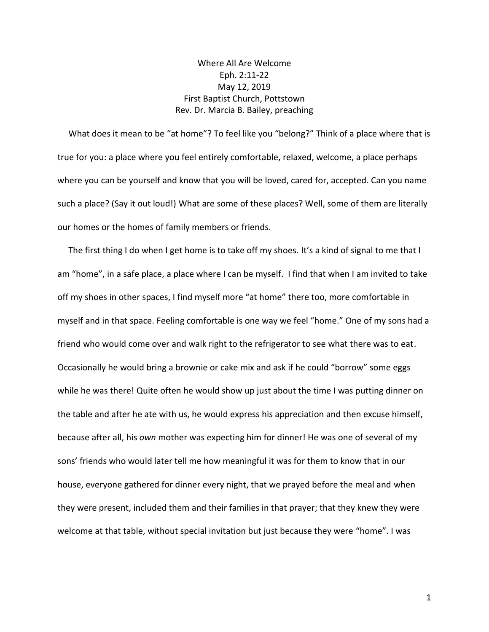## Where All Are Welcome Eph. 2:11-22 May 12, 2019 First Baptist Church, Pottstown Rev. Dr. Marcia B. Bailey, preaching

 What does it mean to be "at home"? To feel like you "belong?" Think of a place where that is true for you: a place where you feel entirely comfortable, relaxed, welcome, a place perhaps where you can be yourself and know that you will be loved, cared for, accepted. Can you name such a place? (Say it out loud!) What are some of these places? Well, some of them are literally our homes or the homes of family members or friends.

 The first thing I do when I get home is to take off my shoes. It's a kind of signal to me that I am "home", in a safe place, a place where I can be myself. I find that when I am invited to take off my shoes in other spaces, I find myself more "at home" there too, more comfortable in myself and in that space. Feeling comfortable is one way we feel "home." One of my sons had a friend who would come over and walk right to the refrigerator to see what there was to eat. Occasionally he would bring a brownie or cake mix and ask if he could "borrow" some eggs while he was there! Quite often he would show up just about the time I was putting dinner on the table and after he ate with us, he would express his appreciation and then excuse himself, because after all, his *own* mother was expecting him for dinner! He was one of several of my sons' friends who would later tell me how meaningful it was for them to know that in our house, everyone gathered for dinner every night, that we prayed before the meal and when they were present, included them and their families in that prayer; that they knew they were welcome at that table, without special invitation but just because they were "home". I was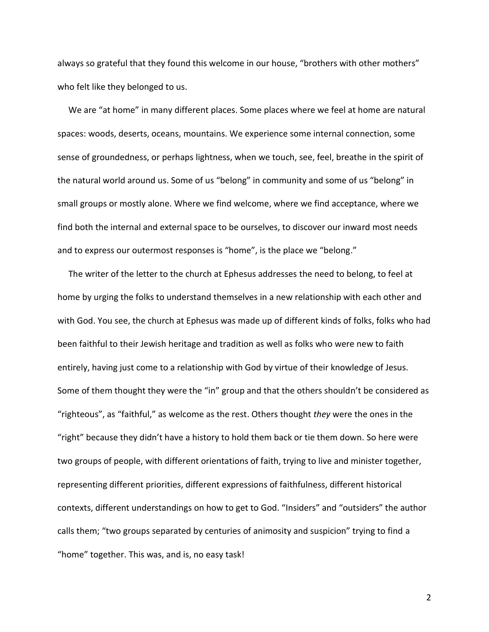always so grateful that they found this welcome in our house, "brothers with other mothers" who felt like they belonged to us.

 We are "at home" in many different places. Some places where we feel at home are natural spaces: woods, deserts, oceans, mountains. We experience some internal connection, some sense of groundedness, or perhaps lightness, when we touch, see, feel, breathe in the spirit of the natural world around us. Some of us "belong" in community and some of us "belong" in small groups or mostly alone. Where we find welcome, where we find acceptance, where we find both the internal and external space to be ourselves, to discover our inward most needs and to express our outermost responses is "home", is the place we "belong."

 The writer of the letter to the church at Ephesus addresses the need to belong, to feel at home by urging the folks to understand themselves in a new relationship with each other and with God. You see, the church at Ephesus was made up of different kinds of folks, folks who had been faithful to their Jewish heritage and tradition as well as folks who were new to faith entirely, having just come to a relationship with God by virtue of their knowledge of Jesus. Some of them thought they were the "in" group and that the others shouldn't be considered as "righteous", as "faithful," as welcome as the rest. Others thought *they* were the ones in the "right" because they didn't have a history to hold them back or tie them down. So here were two groups of people, with different orientations of faith, trying to live and minister together, representing different priorities, different expressions of faithfulness, different historical contexts, different understandings on how to get to God. "Insiders" and "outsiders" the author calls them; "two groups separated by centuries of animosity and suspicion" trying to find a "home" together. This was, and is, no easy task!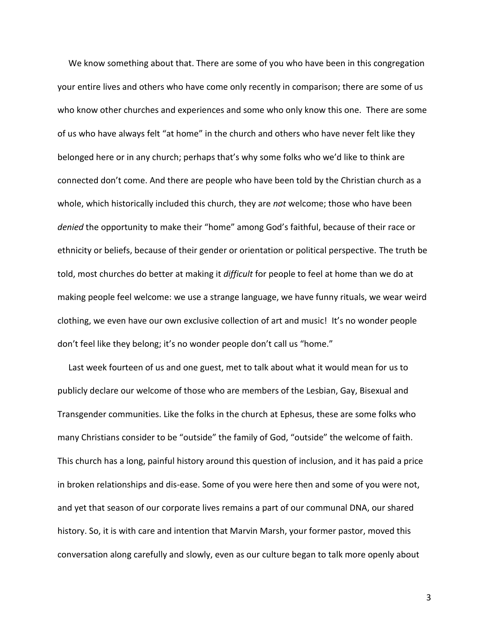We know something about that. There are some of you who have been in this congregation your entire lives and others who have come only recently in comparison; there are some of us who know other churches and experiences and some who only know this one. There are some of us who have always felt "at home" in the church and others who have never felt like they belonged here or in any church; perhaps that's why some folks who we'd like to think are connected don't come. And there are people who have been told by the Christian church as a whole, which historically included this church, they are *not* welcome; those who have been *denied* the opportunity to make their "home" among God's faithful, because of their race or ethnicity or beliefs, because of their gender or orientation or political perspective. The truth be told, most churches do better at making it *difficult* for people to feel at home than we do at making people feel welcome: we use a strange language, we have funny rituals, we wear weird clothing, we even have our own exclusive collection of art and music! It's no wonder people don't feel like they belong; it's no wonder people don't call us "home."

 Last week fourteen of us and one guest, met to talk about what it would mean for us to publicly declare our welcome of those who are members of the Lesbian, Gay, Bisexual and Transgender communities. Like the folks in the church at Ephesus, these are some folks who many Christians consider to be "outside" the family of God, "outside" the welcome of faith. This church has a long, painful history around this question of inclusion, and it has paid a price in broken relationships and dis-ease. Some of you were here then and some of you were not, and yet that season of our corporate lives remains a part of our communal DNA, our shared history. So, it is with care and intention that Marvin Marsh, your former pastor, moved this conversation along carefully and slowly, even as our culture began to talk more openly about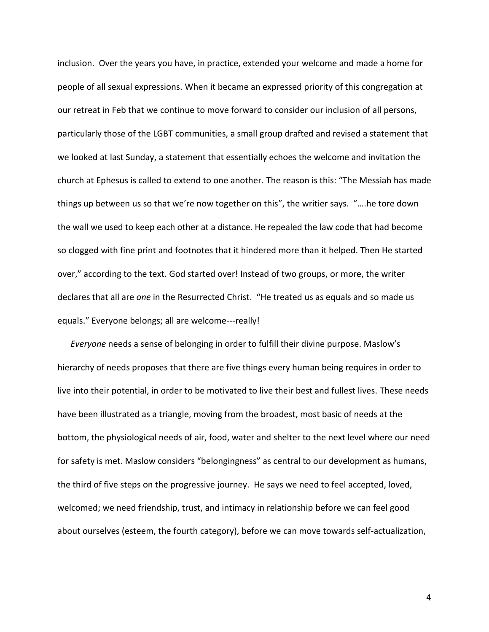inclusion. Over the years you have, in practice, extended your welcome and made a home for people of all sexual expressions. When it became an expressed priority of this congregation at our retreat in Feb that we continue to move forward to consider our inclusion of all persons, particularly those of the LGBT communities, a small group drafted and revised a statement that we looked at last Sunday, a statement that essentially echoes the welcome and invitation the church at Ephesus is called to extend to one another. The reason is this: "The Messiah has made things up between us so that we're now together on this", the writier says. "….he tore down the wall we used to keep each other at a distance. He repealed the law code that had become so clogged with fine print and footnotes that it hindered more than it helped. Then He started over," according to the text. God started over! Instead of two groups, or more, the writer declares that all are *one* in the Resurrected Christ. "He treated us as equals and so made us equals." Everyone belongs; all are welcome---really!

 *Everyone* needs a sense of belonging in order to fulfill their divine purpose. Maslow's hierarchy of needs proposes that there are five things every human being requires in order to live into their potential, in order to be motivated to live their best and fullest lives. These needs have been illustrated as a triangle, moving from the broadest, most basic of needs at the bottom, the physiological needs of air, food, water and shelter to the next level where our need for safety is met. Maslow considers "belongingness" as central to our development as humans, the third of five steps on the progressive journey. He says we need to feel accepted, loved, welcomed; we need friendship, trust, and intimacy in relationship before we can feel good about ourselves (esteem, the fourth category), before we can move towards self-actualization,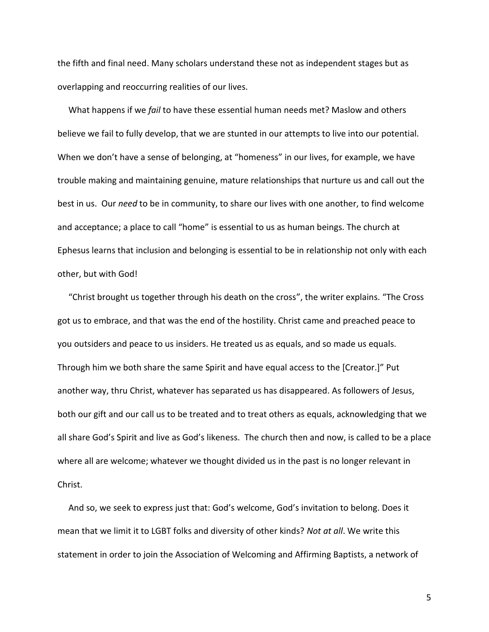the fifth and final need. Many scholars understand these not as independent stages but as overlapping and reoccurring realities of our lives.

 What happens if we *fail* to have these essential human needs met? Maslow and others believe we fail to fully develop, that we are stunted in our attempts to live into our potential. When we don't have a sense of belonging, at "homeness" in our lives, for example, we have trouble making and maintaining genuine, mature relationships that nurture us and call out the best in us. Our *need* to be in community, to share our lives with one another, to find welcome and acceptance; a place to call "home" is essential to us as human beings. The church at Ephesus learns that inclusion and belonging is essential to be in relationship not only with each other, but with God!

 "Christ brought us together through his death on the cross", the writer explains. "The Cross got us to embrace, and that was the end of the hostility. Christ came and preached peace to you outsiders and peace to us insiders. He treated us as equals, and so made us equals. Through him we both share the same Spirit and have equal access to the [Creator.]" Put another way, thru Christ, whatever has separated us has disappeared. As followers of Jesus, both our gift and our call us to be treated and to treat others as equals, acknowledging that we all share God's Spirit and live as God's likeness. The church then and now, is called to be a place where all are welcome; whatever we thought divided us in the past is no longer relevant in Christ.

 And so, we seek to express just that: God's welcome, God's invitation to belong. Does it mean that we limit it to LGBT folks and diversity of other kinds? *Not at all*. We write this statement in order to join the Association of Welcoming and Affirming Baptists, a network of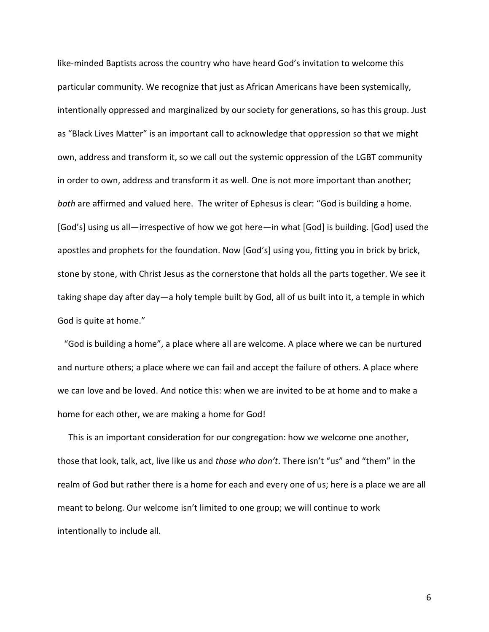like-minded Baptists across the country who have heard God's invitation to welcome this particular community. We recognize that just as African Americans have been systemically, intentionally oppressed and marginalized by our society for generations, so has this group. Just as "Black Lives Matter" is an important call to acknowledge that oppression so that we might own, address and transform it, so we call out the systemic oppression of the LGBT community in order to own, address and transform it as well. One is not more important than another; *both* are affirmed and valued here. The writer of Ephesus is clear: "God is building a home. [God's] using us all—irrespective of how we got here—in what [God] is building. [God] used the apostles and prophets for the foundation. Now [God's] using you, fitting you in brick by brick, stone by stone, with Christ Jesus as the cornerstone that holds all the parts together. We see it taking shape day after day—a holy temple built by God, all of us built into it, a temple in which God is quite at home."

 "God is building a home", a place where all are welcome. A place where we can be nurtured and nurture others; a place where we can fail and accept the failure of others. A place where we can love and be loved. And notice this: when we are invited to be at home and to make a home for each other, we are making a home for God!

 This is an important consideration for our congregation: how we welcome one another, those that look, talk, act, live like us and *those who don't*. There isn't "us" and "them" in the realm of God but rather there is a home for each and every one of us; here is a place we are all meant to belong. Our welcome isn't limited to one group; we will continue to work intentionally to include all.